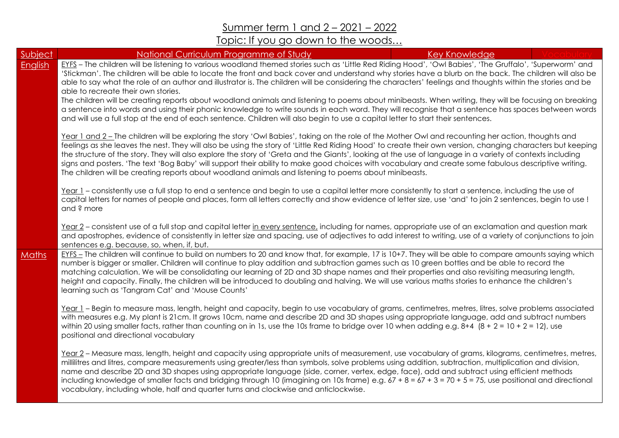Summer term 1 and 2 – 2021 – 2022

## Topic: If you go down to the woods…

| Subject      | National Curriculum Programme of Study                                                                                                                                                                                                                                                                                                                                                                                                                                                                                                                                                                                                                                                                                                           | <b>Key Knowledge</b> |  |
|--------------|--------------------------------------------------------------------------------------------------------------------------------------------------------------------------------------------------------------------------------------------------------------------------------------------------------------------------------------------------------------------------------------------------------------------------------------------------------------------------------------------------------------------------------------------------------------------------------------------------------------------------------------------------------------------------------------------------------------------------------------------------|----------------------|--|
| English      | EYFS - The children will be listening to various woodland themed stories such as 'Little Red Riding Hood', 'Owl Babies', 'The Gruffalo', 'Superworm' and<br>'Stickman'. The children will be able to locate the front and back cover and understand why stories have a blurb on the back. The children will also be<br>able to say what the role of an author and illustrator is. The children will be considering the characters' feelings and thoughts within the stories and be<br>able to recreate their own stories.<br>The children will be creating reports about woodland animals and listening to poems about minibeasts. When writing, they will be focusing on breaking                                                               |                      |  |
|              | a sentence into words and using their phonic knowledge to write sounds in each word. They will recognise that a sentence has spaces between words<br>and will use a full stop at the end of each sentence. Children will also begin to use a capital letter to start their sentences.                                                                                                                                                                                                                                                                                                                                                                                                                                                            |                      |  |
|              | Year 1 and 2 - The children will be exploring the story 'Owl Babies', taking on the role of the Mother Owl and recounting her action, thoughts and<br>feelings as she leaves the nest. They will also be using the story of 'Little Red Riding Hood' to create their own version, changing characters but keeping<br>the structure of the story. They will also explore the story of 'Greta and the Giants', looking at the use of language in a variety of contexts including<br>signs and posters. 'The text 'Bog Baby' will support their ability to make good choices with vocabulary and create some fabulous descriptive writing.<br>The children will be creating reports about woodland animals and listening to poems about minibeasts. |                      |  |
|              | Year 1 – consistently use a full stop to end a sentence and begin to use a capital letter more consistently to start a sentence, including the use of<br>capital letters for names of people and places, form all letters correctly and show evidence of letter size, use 'and' to join 2 sentences, begin to use!<br>and ? more                                                                                                                                                                                                                                                                                                                                                                                                                 |                      |  |
|              | Year 2 - consistent use of a full stop and capital letter in every sentence, including for names, appropriate use of an exclamation and question mark<br>and apostrophes, evidence of consistently in letter size and spacing, use of adjectives to add interest to writing, use of a variety of conjunctions to join<br>sentences e.g. because, so, when, if, but.                                                                                                                                                                                                                                                                                                                                                                              |                      |  |
| <b>Maths</b> | EYFS - The children will continue to build on numbers to 20 and know that, for example, 17 is 10+7. They will be able to compare amounts saying which<br>number is bigger or smaller. Children will continue to play addition and subtraction games such as 10 green bottles and be able to record the<br>matching calculation. We will be consolidating our learning of 2D and 3D shape names and their properties and also revisiting measuring length,<br>height and capacity. Finally, the children will be introduced to doubling and halving. We will use various maths stories to enhance the children's<br>learning such as 'Tangram Cat' and 'Mouse Counts'                                                                             |                      |  |
|              | Year 1 - Begin to measure mass, length, height and capacity, begin to use vocabulary of grams, centimetres, metres, litres, solve problems associated<br>with measures e.g. My plant is 21cm. It grows 10cm, name and describe 2D and 3D shapes using appropriate language, add and subtract numbers<br>within 20 using smaller facts, rather than counting on in 1s, use the 10s frame to bridge over 10 when adding e.g. $8+4$ ( $8+2=10+2=12$ ), use<br>positional and directional vocabulary                                                                                                                                                                                                                                                 |                      |  |
|              | Year 2 - Measure mass, length, height and capacity using appropriate units of measurement, use vocabulary of grams, kilograms, centimetres, metres,<br>millilitres and litres, compare measurements using greater/less than symbols, solve problems using addition, subtraction, multiplication and division,<br>name and describe 2D and 3D shapes using appropriate language (side, corner, vertex, edge, face), add and subtract using efficient methods<br>including knowledge of smaller facts and bridging through 10 (imagining on 10s frame) e.g. $67 + 8 = 67 + 3 = 70 + 5 = 75$ , use positional and directional<br>vocabulary, including whole, half and quarter turns and clockwise and anticlockwise.                               |                      |  |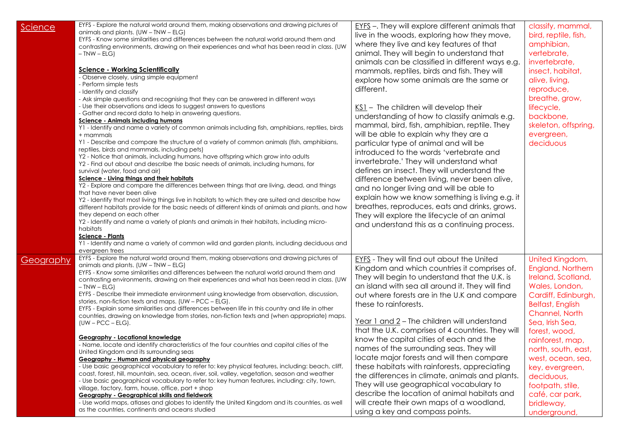| <u>Science</u> | EYFS - Explore the natural world around them, making observations and drawing pictures of<br>animals and plants. (UW - TNW - ELG)<br>EYFS - Know some similarities and differences between the natural world around them and<br>contrasting environments, drawing on their experiences and what has been read in class. (UW<br>$-$ TNW $-$ ELG)<br><b>Science - Working Scientifically</b><br>- Observe closely, using simple equipment<br>- Perform simple tests<br>- Identify and classify<br>- Ask simple questions and recognising that they can be answered in different ways<br>- Use their observations and ideas to suggest answers to questions<br>- Gather and record data to help in answering questions.<br><b>Science - Animals including humans</b><br>Y1 - Identify and name a variety of common animals including fish, amphibians, reptiles, birds<br>+ mammals<br>Y1 - Describe and compare the structure of a variety of common animals (fish, amphibians,<br>reptiles, birds and mammals, including pets)<br>Y2 - Notice that animals, including humans, have offspring which grow into adults<br>Y2 - Find out about and describe the basic needs of animals, including humans, for<br>survival (water, food and air)<br>Science - Living things and their habitats<br>Y2 - Explore and compare the differences between things that are living, dead, and things<br>that have never been alive<br>Y2 - Identify that most living things live in habitats to which they are suited and describe how<br>different habitats provide for the basic needs of different kinds of animals and plants, and how<br>they depend on each other<br>Y2 - Identify and name a variety of plants and animals in their habitats, including micro-<br>habitats<br><b>Science - Plants</b><br>Y1 - Identify and name a variety of common wild and garden plants, including deciduous and<br>evergreen trees | $EYS$ –. They will explore different animals that<br>live in the woods, exploring how they move,<br>where they live and key features of that<br>animal. They will begin to understand that<br>animals can be classified in different ways e.g.<br>mammals, reptiles, birds and fish. They will<br>explore how some animals are the same or<br>different.<br>KS1 - The children will develop their<br>understanding of how to classify animals e.g.<br>mammal, bird, fish, amphibian, reptile. They<br>will be able to explain why they are a<br>particular type of animal and will be<br>introduced to the words 'vertebrate and<br>invertebrate.' They will understand what<br>defines an insect. They will understand the<br>difference between living, never been alive,<br>and no longer living and will be able to<br>explain how we know something is living e.g. it<br>breathes, reproduces, eats and drinks, grows.<br>They will explore the lifecycle of an animal<br>and understand this as a continuing process. | classify, mammal,<br>bird, reptile, fish,<br>amphibian,<br>vertebrate,<br>invertebrate,<br>insect, habitat,<br>alive, living,<br>reproduce,<br>breathe, grow,<br>lifecycle,<br>backbone,<br>skeleton, offspring,<br>evergreen,<br>deciduous                                                                                                               |
|----------------|----------------------------------------------------------------------------------------------------------------------------------------------------------------------------------------------------------------------------------------------------------------------------------------------------------------------------------------------------------------------------------------------------------------------------------------------------------------------------------------------------------------------------------------------------------------------------------------------------------------------------------------------------------------------------------------------------------------------------------------------------------------------------------------------------------------------------------------------------------------------------------------------------------------------------------------------------------------------------------------------------------------------------------------------------------------------------------------------------------------------------------------------------------------------------------------------------------------------------------------------------------------------------------------------------------------------------------------------------------------------------------------------------------------------------------------------------------------------------------------------------------------------------------------------------------------------------------------------------------------------------------------------------------------------------------------------------------------------------------------------------------------------------------------------------------------------------------------------------------------------------------------------------------------|-----------------------------------------------------------------------------------------------------------------------------------------------------------------------------------------------------------------------------------------------------------------------------------------------------------------------------------------------------------------------------------------------------------------------------------------------------------------------------------------------------------------------------------------------------------------------------------------------------------------------------------------------------------------------------------------------------------------------------------------------------------------------------------------------------------------------------------------------------------------------------------------------------------------------------------------------------------------------------------------------------------------------------|-----------------------------------------------------------------------------------------------------------------------------------------------------------------------------------------------------------------------------------------------------------------------------------------------------------------------------------------------------------|
| Geography      | EYFS - Explore the natural world around them, making observations and drawing pictures of<br>animals and plants. $(UW - TNW - ELG)$<br>EYFS - Know some similarities and differences between the natural world around them and<br>contrasting environments, drawing on their experiences and what has been read in class. (UW<br>$-$ TNW $-$ ELG)<br>EYFS - Describe their immediate environment using knowledge from observation, discussion,<br>stories, non-fiction texts and maps. (UW - PCC - ELG).<br>EYFS - Explain some similarities and differences between life in this country and life in other<br>countries, drawing on knowledge from stories, non-fiction texts and (when appropriate) maps.<br>$(UW - PCC - ELG).$<br>Geography - Locational knowledge<br>- Name, locate and identify characteristics of the four countries and capital cities of the<br>United Kingdom and its surrounding seas<br>Geography - Human and physical geography<br>- Use basic geographical vocabulary to refer to: key physical features, including: beach, cliff,<br>coast, forest, hill, mountain, sea, ocean, river, soil, valley, vegetation, season and weather<br>- Use basic geographical vocabulary to refer to: key human features, including: city, town,<br>village, factory, farm, house, office, port + shop<br>Geography - Geographical skills and fieldwork<br>- Use world maps, atlases and globes to identify the United Kingdom and its countries, as well<br>as the countries, continents and oceans studied                                                                                                                                                                                                                                                                                                                                                                                  | <b>EYFS</b> - They will find out about the United<br>Kingdom and which countries it comprises of.<br>They will begin to understand that the U.K. is<br>an island with sea all around it. They will find<br>out where forests are in the U.K and compare<br>these to rainforests.<br>Year 1 and 2 – The children will understand<br>that the U.K. comprises of 4 countries. They will<br>know the capital cities of each and the<br>names of the surrounding seas. They will<br>locate major forests and will then compare<br>these habitats with rainforests, appreciating<br>the differences in climate, animals and plants.<br>They will use geographical vocabulary to<br>describe the location of animal habitats and<br>will create their own maps of a woodland,<br>using a key and compass points.                                                                                                                                                                                                                   | United Kingdom,<br>England, Northern<br>Ireland, Scotland,<br>Wales, London,<br>Cardiff, Edinburgh,<br><b>Belfast, English</b><br>Channel, North<br>Sea, Irish Sea,<br>forest, wood,<br>rainforest, map,<br>north, south, east,<br>west, ocean, sea,<br>key, evergreen,<br>deciduous,<br>footpath, stile,<br>café, car park,<br>bridleway,<br>underground |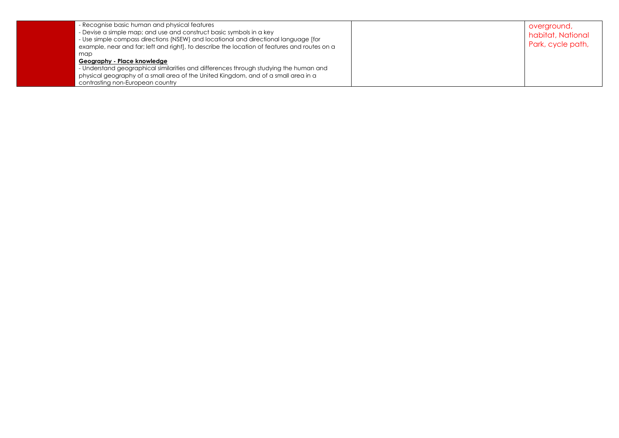| - Recognise basic human and physical features<br>- Devise a simple map; and use and construct basic symbols in a key<br>- Use simple compass directions (NSEW) and locational and directional language [for<br>example, near and far; left and right], to describe the location of features and routes on a | overground,<br>habitat, National<br>Park, cycle path, |
|-------------------------------------------------------------------------------------------------------------------------------------------------------------------------------------------------------------------------------------------------------------------------------------------------------------|-------------------------------------------------------|
| map<br>Geography - Place knowledge                                                                                                                                                                                                                                                                          |                                                       |
| - Understand geographical similarities and differences through studying the human and                                                                                                                                                                                                                       |                                                       |
| physical geography of a small area of the United Kingdom, and of a small area in a                                                                                                                                                                                                                          |                                                       |
| contrasting non-European country                                                                                                                                                                                                                                                                            |                                                       |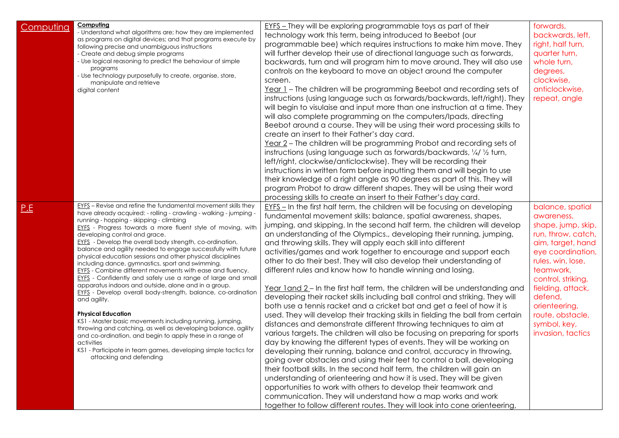| Computing  | Computing<br>- Understand what algorithms are; how they are implemented<br>as programs on digital devices; and that programs execute by<br>following precise and unambiguous instructions<br>- Create and debug simple programs<br>- Use logical reasoning to predict the behaviour of simple<br>programs<br>- Use technology purposefully to create, organise, store,<br>manipulate and retrieve<br>digital content                                                                                                                                                                                                                                                                                                                                                                                                                                                                                                                                                                                                                                                                                                                                     | <b>EYFS</b> – They will be exploring programmable toys as part of their<br>technology work this term, being introduced to Beebot (our<br>programmable bee) which requires instructions to make him move. They<br>will further develop their use of directional language such as forwards,<br>backwards, turn and will program him to move around. They will also use<br>controls on the keyboard to move an object around the computer<br>screen.<br>Year 1 - The children will be programming Beebot and recording sets of<br>instructions (using language such as forwards/backwards, left/right). They<br>will begin to visulaise and input more than one instruction at a time. They<br>will also complete programming on the computers/Ipads, directing<br>Beebot around a course. They will be using their word processing skills to<br>create an insert to their Father's day card.<br>Year 2 – The children will be programming Probot and recording sets of<br>instructions (using language such as forwards/backwards, 1/4/ 1/2 turn,<br>left/right, clockwise/anticlockwise). They will be recording their<br>instructions in written form before inputting them and will begin to use<br>their knowledge of a right angle as 90 degrees as part of this. They will<br>program Probot to draw different shapes. They will be using their word<br>processing skills to create an insert to their Father's day card.                                                                                                                                                                                                                                          | forwards,<br>backwards, left,<br>right, half turn,<br>quarter turn,<br>whole turn,<br>degrees,<br>clockwise,<br>anticlockwise,<br>repeat, angle                                                                                                                                        |
|------------|----------------------------------------------------------------------------------------------------------------------------------------------------------------------------------------------------------------------------------------------------------------------------------------------------------------------------------------------------------------------------------------------------------------------------------------------------------------------------------------------------------------------------------------------------------------------------------------------------------------------------------------------------------------------------------------------------------------------------------------------------------------------------------------------------------------------------------------------------------------------------------------------------------------------------------------------------------------------------------------------------------------------------------------------------------------------------------------------------------------------------------------------------------|------------------------------------------------------------------------------------------------------------------------------------------------------------------------------------------------------------------------------------------------------------------------------------------------------------------------------------------------------------------------------------------------------------------------------------------------------------------------------------------------------------------------------------------------------------------------------------------------------------------------------------------------------------------------------------------------------------------------------------------------------------------------------------------------------------------------------------------------------------------------------------------------------------------------------------------------------------------------------------------------------------------------------------------------------------------------------------------------------------------------------------------------------------------------------------------------------------------------------------------------------------------------------------------------------------------------------------------------------------------------------------------------------------------------------------------------------------------------------------------------------------------------------------------------------------------------------------------------------------------------------------------------------------------------|----------------------------------------------------------------------------------------------------------------------------------------------------------------------------------------------------------------------------------------------------------------------------------------|
| <u>P.E</u> | <b>EYFS</b> - Revise and refine the fundamental movement skills they<br>have already acquired: - rolling - crawling - walking - jumping -<br>running - hopping - skipping - climbing<br><b>EYFS</b> - Progress towards a more fluent style of moving, with<br>developing control and grace.<br>EYFS - Develop the overall body strength, co-ordination,<br>balance and agility needed to engage successfully with future<br>physical education sessions and other physical disciplines<br>including dance, gymnastics, sport and swimming.<br><b>EYFS</b> - Combine different movements with ease and fluency.<br>EYFS - Confidently and safely use a range of large and small<br>apparatus indoors and outside, alone and in a group.<br>EYFS - Develop overall body-strength, balance, co-ordination<br>and agility.<br><b>Physical Education</b><br>KS1 - Master basic movements including running, jumping,<br>throwing and catching, as well as developing balance, agility<br>and co-ordination, and begin to apply these in a range of<br>activities<br>KS1 - Participate in team games, developing simple tactics for<br>attacking and defending | EYFS - In the first half term, the children will be focusing on developing<br>fundamental movement skills: balance, spatial awareness, shapes,<br>jumping, and skipping. In the second half term, the children will develop<br>an understanding of the Olympics., developing their running, jumping,<br>and throwing skills. They will apply each skill into different<br>activities/games and work together to encourage and support each<br>other to do their best. They will also develop their understanding of<br>different rules and know how to handle winning and losing.<br>Year land 2 – In the first half term, the children will be understanding and<br>developing their racket skills including ball control and striking. They will<br>both use a tennis racket and a cricket bat and get a feel of how it is<br>used. They will develop their tracking skills in fielding the ball from certain<br>distances and demonstrate different throwing techniques to aim at<br>various targets. The children will also be focusing on preparing for sports<br>day by knowing the different types of events. They will be working on<br>developing their running, balance and control, accuracy in throwing,<br>going over obstacles and using their feet to control a ball, developing<br>their football skills. In the second half term, the children will gain an<br>understanding of orienteering and how it is used. They will be given<br>opportunities to work with others to develop their teamwork and<br>communication. They will understand how a map works and work<br>together to follow different routes. They will look into cone orienteering, | balance, spatial<br>awareness,<br>shape, jump, skip,<br>run, throw, catch,<br>aim, target, hand<br>eye coordination,<br>rules, win, lose,<br>teamwork,<br>control, striking,<br>fielding, attack,<br>defend,<br>orienteering,<br>route, obstacle,<br>symbol, key,<br>invasion, tactics |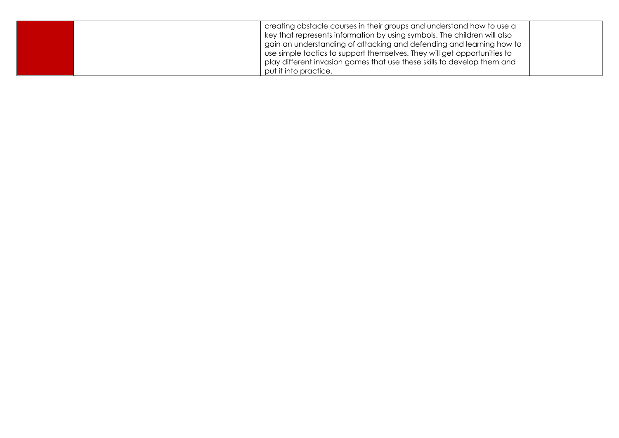| creating obstacle courses in their groups and understand how to use a<br>key that represents information by using symbols. The children will also<br>gain an understanding of attacking and defending and learning how to<br>use simple tactics to support themselves. They will get opportunities to<br>play different invasion games that use these skills to develop them and |  |
|----------------------------------------------------------------------------------------------------------------------------------------------------------------------------------------------------------------------------------------------------------------------------------------------------------------------------------------------------------------------------------|--|
| put it into practice.                                                                                                                                                                                                                                                                                                                                                            |  |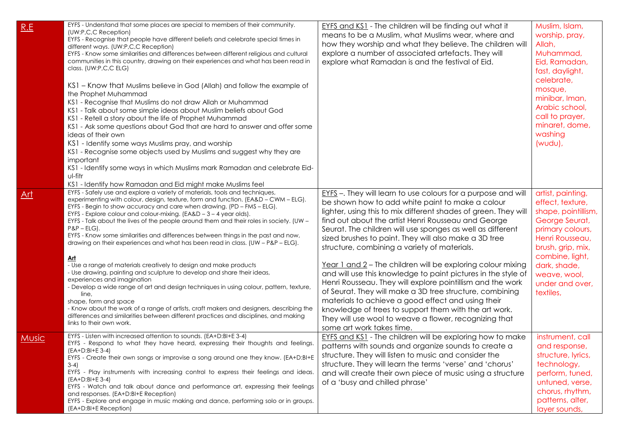| R.E        | EYFS - Understand that some places are special to members of their community.<br>(UW:P,C,C Reception)<br>EYFS - Recognise that people have different beliefs and celebrate special times in<br>different ways. (UW:P,C,C Reception)<br>EYFS - Know some similarities and differences between different religious and cultural<br>communities in this country, drawing on their experiences and what has been read in<br>class. (UW:P,C,C ELG)<br>KS1 - Know that Muslims believe in God (Allah) and follow the example of<br>the Prophet Muhammad<br>KS1 - Recognise that Muslims do not draw Allah or Muhammad<br>KS1 - Talk about some simple ideas about Muslim beliefs about God<br>KS1 - Retell a story about the life of Prophet Muhammad<br>KS1 - Ask some questions about God that are hard to answer and offer some<br>ideas of their own<br>KS1 - Identify some ways Muslims pray, and worship<br>KS1 - Recognise some objects used by Muslims and suggest why they are<br>important<br>KS1 - Identify some ways in which Muslims mark Ramadan and celebrate Eid-<br>ul-fitr<br>KS1 - Identify how Ramadan and Eid might make Muslims feel | <b>EYFS and KS1</b> - The children will be finding out what it<br>means to be a Muslim, what Muslims wear, where and<br>how they worship and what they believe. The children will<br>explore a number of associated artefacts. They will<br>explore what Ramadan is and the festival of Eid.                                                                                                                                                                                                                                                                                                                                                                                                                                                                                                                                                                                       | Muslim, Islam,<br>worship, pray,<br>Allah,<br>Muhammad,<br>Eid, Ramadan,<br>fast, daylight,<br>celebrate,<br>mosque,<br>minibar, Iman,<br>Arabic school,<br>call to prayer,<br>minaret, dome,<br>washing<br>$(wudu)$ ,        |
|------------|------------------------------------------------------------------------------------------------------------------------------------------------------------------------------------------------------------------------------------------------------------------------------------------------------------------------------------------------------------------------------------------------------------------------------------------------------------------------------------------------------------------------------------------------------------------------------------------------------------------------------------------------------------------------------------------------------------------------------------------------------------------------------------------------------------------------------------------------------------------------------------------------------------------------------------------------------------------------------------------------------------------------------------------------------------------------------------------------------------------------------------------------------|------------------------------------------------------------------------------------------------------------------------------------------------------------------------------------------------------------------------------------------------------------------------------------------------------------------------------------------------------------------------------------------------------------------------------------------------------------------------------------------------------------------------------------------------------------------------------------------------------------------------------------------------------------------------------------------------------------------------------------------------------------------------------------------------------------------------------------------------------------------------------------|-------------------------------------------------------------------------------------------------------------------------------------------------------------------------------------------------------------------------------|
| <u>Art</u> | EYFS - Safely use and explore a variety of materials, tools and techniques,<br>experimenting with colour, design, texture, form and function. (EA&D - CWM - ELG).<br>EYFS - Begin to show accuracy and care when drawing. (PD - FMS - ELG).<br>EYFS - Explore colour and colour-mixing. (EA&D - 3 - 4 year olds).<br>EYFS - Talk about the lives of the people around them and their roles in society. (UW -<br>$P\&P$ – ELG).<br>EYFS - Know some similarities and differences between things in the past and now,<br>drawing on their experiences and what has been read in class. (UW - P&P - ELG).<br><u>Art</u><br>- Use a range of materials creatively to design and make products<br>- Use drawing, painting and sculpture to develop and share their ideas,<br>experiences and imagination<br>- Develop a wide range of art and design techniques in using colour, pattern, texture,<br>line,<br>shape, form and space<br>- Know about the work of a range of artists, craft makers and designers, describing the<br>differences and similarities between different practices and disciplines, and making<br>links to their own work.       | EYFS -. They will learn to use colours for a purpose and will<br>be shown how to add white paint to make a colour<br>lighter, using this to mix different shades of green. They will<br>find out about the artist Henri Rousseau and George<br>Seurat. The children will use sponges as well as different<br>sized brushes to paint. They will also make a 3D tree<br>structure, combining a variety of materials.<br>Year 1 and 2 - The children will be exploring colour mixing<br>and will use this knowledge to paint pictures in the style of<br>Henri Rousseau. They will explore pointillism and the work<br>of Seurat. They will make a 3D tree structure, combining<br>materials to achieve a good effect and using their<br>knowledge of trees to support them with the art work.<br>They will use wool to weave a flower, recognizing that<br>some art work takes time. | artist, painting,<br>effect, texture,<br>shape, pointillism,<br>George Seurat,<br>primary colours,<br>Henri Rousseau,<br>brush, grip, mix,<br>combine, light,<br>dark, shade,<br>weave, wool,<br>under and over,<br>textiles, |
| Music,     | EYFS - Listen with increased attention to sounds. (EA+D:BI+E 3-4)<br>EYFS - Respond to what they have heard, expressing their thoughts and feelings.<br>(EA+D:BI+E 3-4)<br>EYFS - Create their own songs or improvise a song around one they know. (EA+D:BI+E<br>$3-4)$<br>EYFS - Play instruments with increasing control to express their feelings and ideas.<br>(EA+D:BI+E 3-4)<br>EYFS - Watch and talk about dance and performance art, expressing their feelings<br>and responses. (EA+D:BI+E Reception)<br>EYFS - Explore and engage in music making and dance, performing solo or in groups.<br>(EA+D:BI+E Reception)                                                                                                                                                                                                                                                                                                                                                                                                                                                                                                                        | <b>EYFS and KS1</b> - The children will be exploring how to make<br>patterns with sounds and organize sounds to create a<br>structure. They will listen to music and consider the<br>structure. They will learn the terms 'verse' and 'chorus'<br>and will create their own piece of music using a structure<br>of a 'busy and chilled phrase'                                                                                                                                                                                                                                                                                                                                                                                                                                                                                                                                     | instrument, call<br>and response,<br>structure, lyrics,<br>technology,<br>perform, tuned,<br>untuned, verse,<br>chorus, rhythm,<br>patterns, alter,<br>layer sounds,                                                          |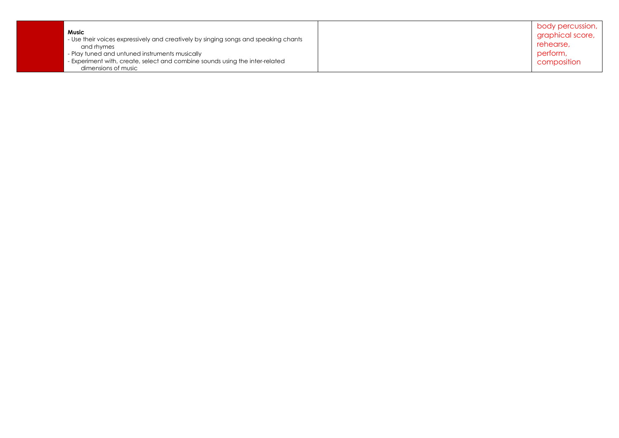|                                                                                     | body percussion, |
|-------------------------------------------------------------------------------------|------------------|
| Music                                                                               | graphical score, |
| - Use their voices expressively and creatively by singing songs and speaking chants | rehearse,        |
| and rhymes                                                                          |                  |
| - Play tuned and untuned instruments musically                                      | perform,         |
| - Experiment with, create, select and combine sounds using the inter-related        | composition      |
| dimensions of music                                                                 |                  |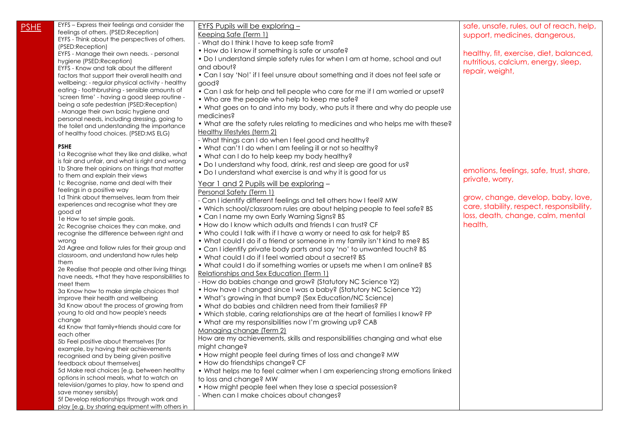| <u>PSHE</u> | EYFS - Express their feelings and consider the                                                | <u>EYFS Pupils will be exploring -</u>                                          | safe, unsafe, rules, out of reach, help,  |
|-------------|-----------------------------------------------------------------------------------------------|---------------------------------------------------------------------------------|-------------------------------------------|
|             | feelings of others. (PSED:Reception)                                                          | Keeping Safe (Term 1)                                                           | support, medicines, dangerous,            |
|             | EYFS - Think about the perspectives of others.                                                | - What do I think I have to keep safe from?                                     |                                           |
|             | (PSED:Reception)                                                                              | • How do I know if something is safe or unsafe?                                 |                                           |
|             | EYFS - Manage their own needs. - personal                                                     | . Do I understand simple safety rules for when I am at home, school and out     | healthy, fit, exercise, diet, balanced,   |
|             | hygiene (PSED:Reception)                                                                      | and about?                                                                      | nutritious, calcium, energy, sleep,       |
|             | EYFS - Know and talk about the different                                                      |                                                                                 | repair, weight,                           |
|             | factors that support their overall health and                                                 | • Can I say 'No!' if I feel unsure about something and it does not feel safe or |                                           |
|             | wellbeing: - regular physical activity - healthy                                              | good?                                                                           |                                           |
|             | eating - toothbrushing - sensible amounts of<br>'screen time' - having a good sleep routine - | • Can I ask for help and tell people who care for me if I am worried or upset?  |                                           |
|             | being a safe pedestrian (PSED: Reception)                                                     | • Who are the people who help to keep me safe?                                  |                                           |
|             | - Manage their own basic hygiene and                                                          | • What goes on to and into my body, who puts it there and why do people use     |                                           |
|             | personal needs, including dressing, going to                                                  | medicines?                                                                      |                                           |
|             | the toilet and understanding the importance                                                   | • What are the safety rules relating to medicines and who helps me with these?  |                                           |
|             | of healthy food choices. (PSED:MS ELG)                                                        | <u>Healthy lifestyles (term 2)</u>                                              |                                           |
|             |                                                                                               | - What things can I do when I feel good and healthy?                            |                                           |
|             | <b>PSHE</b>                                                                                   | . What can't I do when I am feeling ill or not so healthy?                      |                                           |
|             | 1a Recognise what they like and dislike, what                                                 | • What can I do to help keep my body healthy?                                   |                                           |
|             | is fair and unfair, and what is right and wrong                                               | . Do I understand why food, drink, rest and sleep are good for us?              |                                           |
|             | 1b Share their opinions on things that matter                                                 |                                                                                 | emotions, feelings, safe, trust, share,   |
|             | to them and explain their views                                                               | • Do I understand what exercise is and why it is good for us                    | private, worry,                           |
|             | 1c Recognise, name and deal with their                                                        | Year 1 and 2 Pupils will be exploring -                                         |                                           |
|             | feelings in a positive way                                                                    | Personal Safety (Term 1)                                                        |                                           |
|             | 1d Think about themselves, learn from their                                                   | - Can I identify different feelings and tell others how I feel? MW              | grow, change, develop, baby, love,        |
|             | experiences and recognise what they are                                                       | . Which school/classroom rules are about helping people to feel safe? BS        | care, stability, respect, responsibility, |
|             | good at                                                                                       | • Can I name my own Early Warning Signs? BS                                     | loss, death, change, calm, mental         |
|             | 1e How to set simple goals.                                                                   | . How do I know which adults and friends I can trust? CF                        | health,                                   |
|             | 2c Recognise choices they can make, and                                                       |                                                                                 |                                           |
|             | recognise the difference between right and                                                    | . Who could I talk with if I have a worry or need to ask for help? BS           |                                           |
|             | wrong                                                                                         | . What could I do if a friend or someone in my family isn't kind to me? BS      |                                           |
|             | 2d Agree and follow rules for their group and<br>classroom, and understand how rules help     | • Can I identify private body parts and say 'no' to unwanted touch? BS          |                                           |
|             | them                                                                                          | • What could I do if I feel worried about a secret? BS                          |                                           |
|             | 2e Realise that people and other living things                                                | . What could I do if something worries or upsets me when I am online? BS        |                                           |
|             | have needs, +that they have responsibilities to                                               | Relationships and Sex Education (Term 1)                                        |                                           |
|             | meet them                                                                                     | - How do babies change and grow? (Statutory NC Science Y2)                      |                                           |
|             | 3a Know how to make simple choices that                                                       | • How have I changed since I was a baby? (Statutory NC Science Y2)              |                                           |
|             | improve their health and wellbeing                                                            | • What's growing in that bump? (Sex Education/NC Science)                       |                                           |
|             | 3d Know about the process of growing from                                                     | • What do babies and children need from their families? FP                      |                                           |
|             | young to old and how people's needs                                                           | . Which stable, caring relationships are at the heart of families I know? FP    |                                           |
|             | change                                                                                        | • What are my responsibilities now I'm growing up? CAB                          |                                           |
|             | 4d Know that family+friends should care for                                                   | Managing change (Term 2)                                                        |                                           |
|             | each other                                                                                    | How are my achievements, skills and responsibilities changing and what else     |                                           |
|             | 5b Feel positive about themselves [for                                                        | might change?                                                                   |                                           |
|             | example, by having their achievements                                                         | • How might people feel during times of loss and change? MW                     |                                           |
|             | recognised and by being given positive<br>feedback about themselves]                          | • How do friendships change? CF                                                 |                                           |
|             | 5d Make real choices [e.g. between healthy                                                    | • What helps me to feel calmer when I am experiencing strong emotions linked    |                                           |
|             | options in school meals, what to watch on                                                     |                                                                                 |                                           |
|             | television/games to play, how to spend and                                                    | to loss and change? MW                                                          |                                           |
|             | save money sensibly]                                                                          | • How might people feel when they lose a special possession?                    |                                           |
|             | 5f Develop relationships through work and                                                     | - When can I make choices about changes?                                        |                                           |
|             | play [e.g. by sharing equipment with others in                                                |                                                                                 |                                           |
|             |                                                                                               |                                                                                 |                                           |
|             |                                                                                               |                                                                                 |                                           |